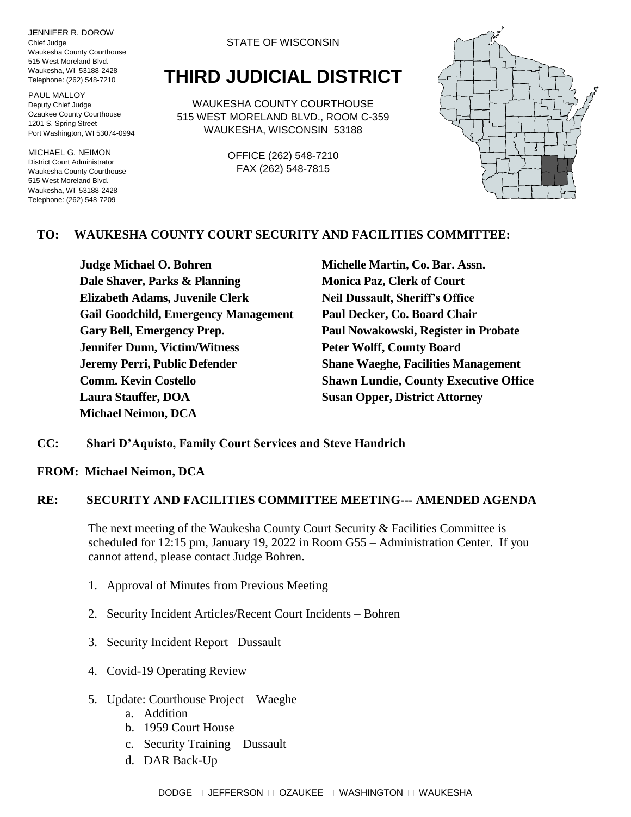JENNIFER R. DOROW Chief Judge Waukesha County Courthouse 515 West Moreland Blvd. Waukesha, WI 53188-2428 Telephone: (262) 548-7210

PAUL MALLOY Deputy Chief Judge Ozaukee County Courthouse 1201 S. Spring Street Port Washington, WI 53074-0994

MICHAEL G. NEIMON District Court Administrator Waukesha County Courthouse 515 West Moreland Blvd. Waukesha, WI 53188-2428 Telephone: (262) 548-7209

#### STATE OF WISCONSIN

# **THIRD JUDICIAL DISTRICT**

WAUKESHA COUNTY COURTHOUSE 515 WEST MORELAND BLVD., ROOM C-359 WAUKESHA, WISCONSIN 53188

> OFFICE (262) 548-7210 FAX (262) 548-7815



### **TO: WAUKESHA COUNTY COURT SECURITY AND FACILITIES COMMITTEE:**

**Judge Michael O. Bohren Michelle Martin, Co. Bar. Assn. Dale Shaver, Parks & Planning Monica Paz, Clerk of Court Elizabeth Adams, Juvenile Clerk Neil Dussault, Sheriff's Office Gail Goodchild, Emergency Management Paul Decker, Co. Board Chair Gary Bell, Emergency Prep. Paul Nowakowski, Register in Probate Jennifer Dunn, Victim/Witness Peter Wolff, County Board Jeremy Perri, Public Defender Shane Waeghe, Facilities Management Laura Stauffer, DOA Susan Opper, District Attorney Michael Neimon, DCA**

**Comm. Kevin Costello Shawn Lundie, County Executive Office**

#### **CC: Shari D'Aquisto, Family Court Services and Steve Handrich**

**FROM: Michael Neimon, DCA**

#### **RE: SECURITY AND FACILITIES COMMITTEE MEETING--- AMENDED AGENDA**

The next meeting of the Waukesha County Court Security & Facilities Committee is scheduled for 12:15 pm, January 19, 2022 in Room G55 – Administration Center. If you cannot attend, please contact Judge Bohren.

- 1. Approval of Minutes from Previous Meeting
- 2. Security Incident Articles/Recent Court Incidents Bohren
- 3. Security Incident Report –Dussault
- 4. Covid-19 Operating Review
- 5. Update: Courthouse Project Waeghe
	- a. Addition
	- b. 1959 Court House
	- c. Security Training Dussault
	- d. DAR Back-Up